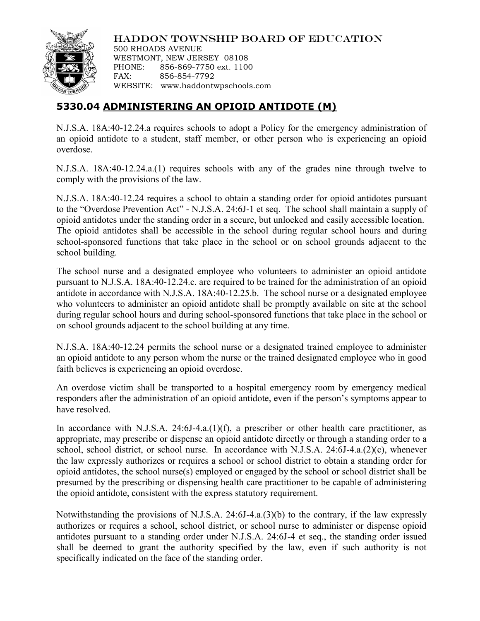

HADDON TOWNSHIP BOARD OF EDUCATION

500 RHOADS AVENUE WESTMONT, NEW JERSEY 08108 PHONE: 856-869-7750 ext. 1100 FAX: 856-854-7792 WEBSITE: www.haddontwpschools.com

## **5330.04 ADMINISTERING AN OPIOID ANTIDOTE (M)**

N.J.S.A. 18A:40-12.24.a requires schools to adopt a Policy for the emergency administration of an opioid antidote to a student, staff member, or other person who is experiencing an opioid overdose.

N.J.S.A. 18A:40-12.24.a.(1) requires schools with any of the grades nine through twelve to comply with the provisions of the law.

N.J.S.A. 18A:40-12.24 requires a school to obtain a standing order for opioid antidotes pursuant to the "Overdose Prevention Act" - N.J.S.A. 24:6J-1 et seq. The school shall maintain a supply of opioid antidotes under the standing order in a secure, but unlocked and easily accessible location. The opioid antidotes shall be accessible in the school during regular school hours and during school-sponsored functions that take place in the school or on school grounds adjacent to the school building.

The school nurse and a designated employee who volunteers to administer an opioid antidote pursuant to N.J.S.A. 18A:40-12.24.c. are required to be trained for the administration of an opioid antidote in accordance with N.J.S.A. 18A:40-12.25.b. The school nurse or a designated employee who volunteers to administer an opioid antidote shall be promptly available on site at the school during regular school hours and during school-sponsored functions that take place in the school or on school grounds adjacent to the school building at any time.

N.J.S.A. 18A:40-12.24 permits the school nurse or a designated trained employee to administer an opioid antidote to any person whom the nurse or the trained designated employee who in good faith believes is experiencing an opioid overdose.

An overdose victim shall be transported to a hospital emergency room by emergency medical responders after the administration of an opioid antidote, even if the person's symptoms appear to have resolved.

In accordance with N.J.S.A. 24:6J-4.a.(1)(f), a prescriber or other health care practitioner, as appropriate, may prescribe or dispense an opioid antidote directly or through a standing order to a school, school district, or school nurse. In accordance with N.J.S.A. 24:6J-4.a.(2)(c), whenever the law expressly authorizes or requires a school or school district to obtain a standing order for opioid antidotes, the school nurse(s) employed or engaged by the school or school district shall be presumed by the prescribing or dispensing health care practitioner to be capable of administering the opioid antidote, consistent with the express statutory requirement.

Notwithstanding the provisions of N.J.S.A. 24:6J-4.a.(3)(b) to the contrary, if the law expressly authorizes or requires a school, school district, or school nurse to administer or dispense opioid antidotes pursuant to a standing order under N.J.S.A. 24:6J-4 et seq., the standing order issued shall be deemed to grant the authority specified by the law, even if such authority is not specifically indicated on the face of the standing order.